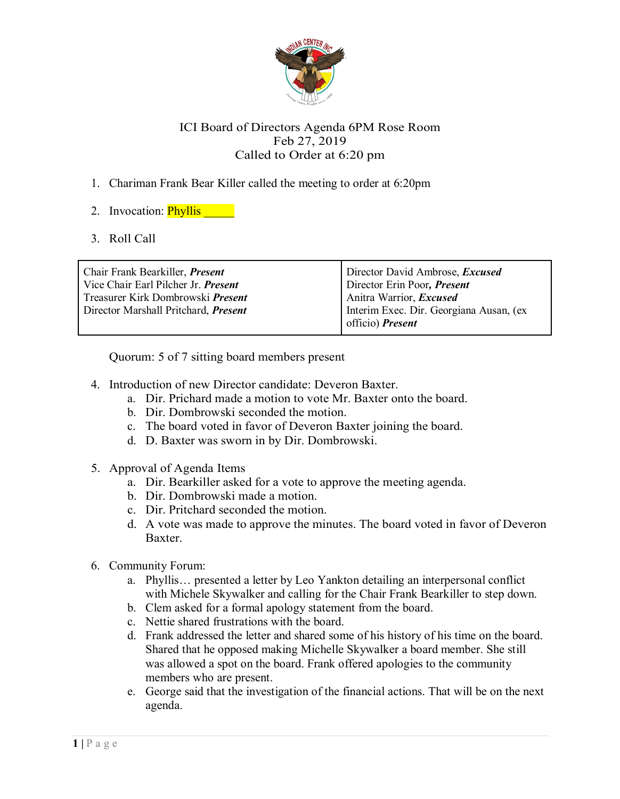

## ICI Board of Directors Agenda 6PM Rose Room Feb 27, 2019 Called to Order at 6:20 pm

- 1. Chariman Frank Bear Killer called the meeting to order at 6:20pm
- 2. Invocation: **Phyllis**
- 3. Roll Call

| Chair Frank Bearkiller, <i>Present</i><br>Vice Chair Earl Pilcher Jr. Present | Director David Ambrose, <i>Excused</i><br>Director Erin Poor, Present |
|-------------------------------------------------------------------------------|-----------------------------------------------------------------------|
| Treasurer Kirk Dombrowski <i>Present</i>                                      | Anitra Warrior, <i>Excused</i>                                        |
| Director Marshall Pritchard, <i>Present</i>                                   | Interim Exec. Dir. Georgiana Ausan, (ex<br>officio) <i>Present</i>    |

Quorum: 5 of 7 sitting board members present

- 4. Introduction of new Director candidate: Deveron Baxter.
	- a. Dir. Prichard made a motion to vote Mr. Baxter onto the board.
	- b. Dir. Dombrowski seconded the motion.
	- c. The board voted in favor of Deveron Baxter joining the board.
	- d. D. Baxter was sworn in by Dir. Dombrowski.
- 5. Approval of Agenda Items
	- a. Dir. Bearkiller asked for a vote to approve the meeting agenda.
	- b. Dir. Dombrowski made a motion.
	- c. Dir. Pritchard seconded the motion.
	- d. A vote was made to approve the minutes. The board voted in favor of Deveron Baxter.
- 6. Community Forum:
	- a. Phyllis… presented a letter by Leo Yankton detailing an interpersonal conflict with Michele Skywalker and calling for the Chair Frank Bearkiller to step down.
	- b. Clem asked for a formal apology statement from the board.
	- c. Nettie shared frustrations with the board.
	- d. Frank addressed the letter and shared some of his history of his time on the board. Shared that he opposed making Michelle Skywalker a board member. She still was allowed a spot on the board. Frank offered apologies to the community members who are present.
	- e. George said that the investigation of the financial actions. That will be on the next agenda.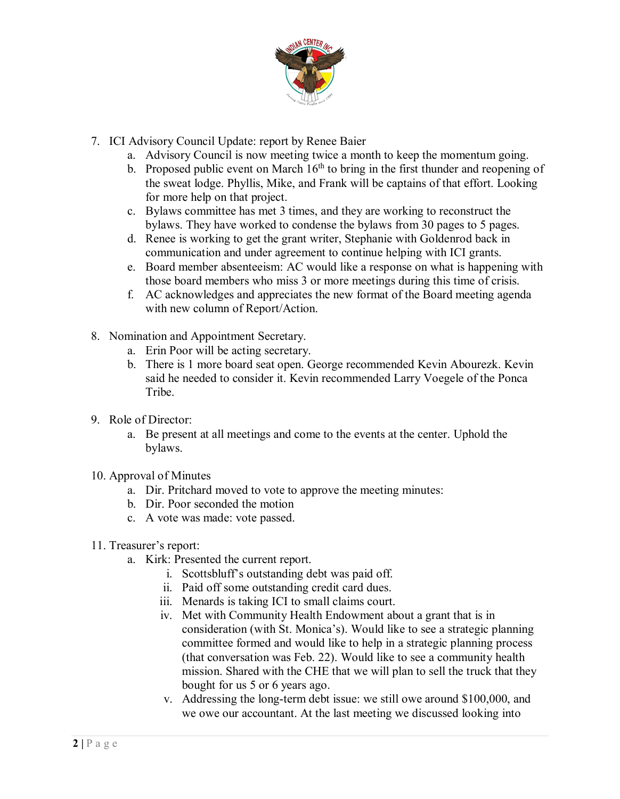

- 7. ICI Advisory Council Update: report by Renee Baier
	- a. Advisory Council is now meeting twice a month to keep the momentum going.
	- b. Proposed public event on March  $16<sup>th</sup>$  to bring in the first thunder and reopening of the sweat lodge. Phyllis, Mike, and Frank will be captains of that effort. Looking for more help on that project.
	- c. Bylaws committee has met 3 times, and they are working to reconstruct the bylaws. They have worked to condense the bylaws from 30 pages to 5 pages.
	- d. Renee is working to get the grant writer, Stephanie with Goldenrod back in communication and under agreement to continue helping with ICI grants.
	- e. Board member absenteeism: AC would like a response on what is happening with those board members who miss 3 or more meetings during this time of crisis.
	- f. AC acknowledges and appreciates the new format of the Board meeting agenda with new column of Report/Action.
- 8. Nomination and Appointment Secretary.
	- a. Erin Poor will be acting secretary.
	- b. There is 1 more board seat open. George recommended Kevin Abourezk. Kevin said he needed to consider it. Kevin recommended Larry Voegele of the Ponca **Tribe**
- 9. Role of Director:
	- a. Be present at all meetings and come to the events at the center. Uphold the bylaws.
- 10. Approval of Minutes
	- a. Dir. Pritchard moved to vote to approve the meeting minutes:
	- b. Dir. Poor seconded the motion
	- c. A vote was made: vote passed.
- 11. Treasurer's report:
	- a. Kirk: Presented the current report.
		- i. Scottsbluff's outstanding debt was paid off.
		- ii. Paid off some outstanding credit card dues.
		- iii. Menards is taking ICI to small claims court.
		- iv. Met with Community Health Endowment about a grant that is in consideration (with St. Monica's). Would like to see a strategic planning committee formed and would like to help in a strategic planning process (that conversation was Feb. 22). Would like to see a community health mission. Shared with the CHE that we will plan to sell the truck that they bought for us 5 or 6 years ago.
		- v. Addressing the long-term debt issue: we still owe around \$100,000, and we owe our accountant. At the last meeting we discussed looking into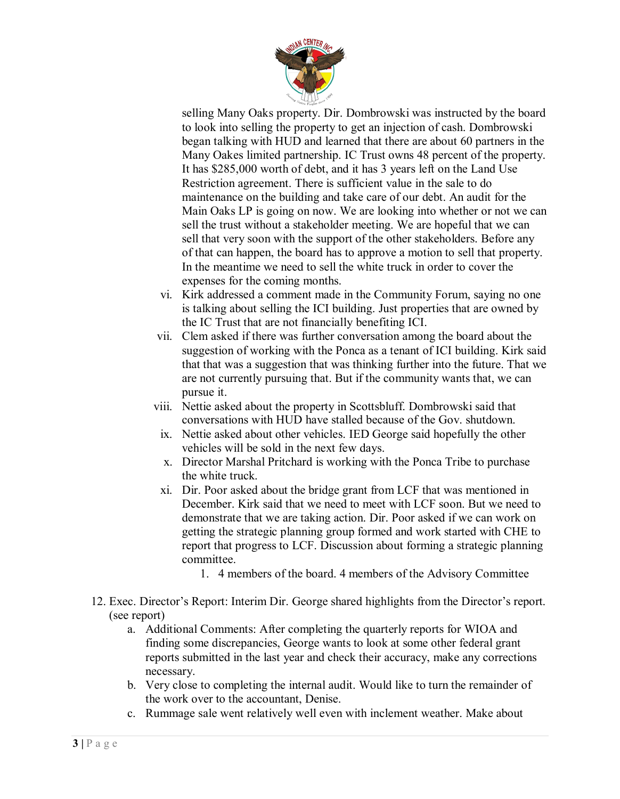

selling Many Oaks property. Dir. Dombrowski was instructed by the board to look into selling the property to get an injection of cash. Dombrowski began talking with HUD and learned that there are about 60 partners in the Many Oakes limited partnership. IC Trust owns 48 percent of the property. It has \$285,000 worth of debt, and it has 3 years left on the Land Use Restriction agreement. There is sufficient value in the sale to do maintenance on the building and take care of our debt. An audit for the Main Oaks LP is going on now. We are looking into whether or not we can sell the trust without a stakeholder meeting. We are hopeful that we can sell that very soon with the support of the other stakeholders. Before any of that can happen, the board has to approve a motion to sell that property. In the meantime we need to sell the white truck in order to cover the expenses for the coming months.

- vi. Kirk addressed a comment made in the Community Forum, saying no one is talking about selling the ICI building. Just properties that are owned by the IC Trust that are not financially benefiting ICI.
- vii. Clem asked if there was further conversation among the board about the suggestion of working with the Ponca as a tenant of ICI building. Kirk said that that was a suggestion that was thinking further into the future. That we are not currently pursuing that. But if the community wants that, we can pursue it.
- viii. Nettie asked about the property in Scottsbluff. Dombrowski said that conversations with HUD have stalled because of the Gov. shutdown.
- ix. Nettie asked about other vehicles. IED George said hopefully the other vehicles will be sold in the next few days.
- x. Director Marshal Pritchard is working with the Ponca Tribe to purchase the white truck.
- xi. Dir. Poor asked about the bridge grant from LCF that was mentioned in December. Kirk said that we need to meet with LCF soon. But we need to demonstrate that we are taking action. Dir. Poor asked if we can work on getting the strategic planning group formed and work started with CHE to report that progress to LCF. Discussion about forming a strategic planning committee.
	- 1. 4 members of the board. 4 members of the Advisory Committee
- 12. Exec. Director's Report: Interim Dir. George shared highlights from the Director's report. (see report)
	- a. Additional Comments: After completing the quarterly reports for WIOA and finding some discrepancies, George wants to look at some other federal grant reports submitted in the last year and check their accuracy, make any corrections necessary.
	- b. Very close to completing the internal audit. Would like to turn the remainder of the work over to the accountant, Denise.
	- c. Rummage sale went relatively well even with inclement weather. Make about